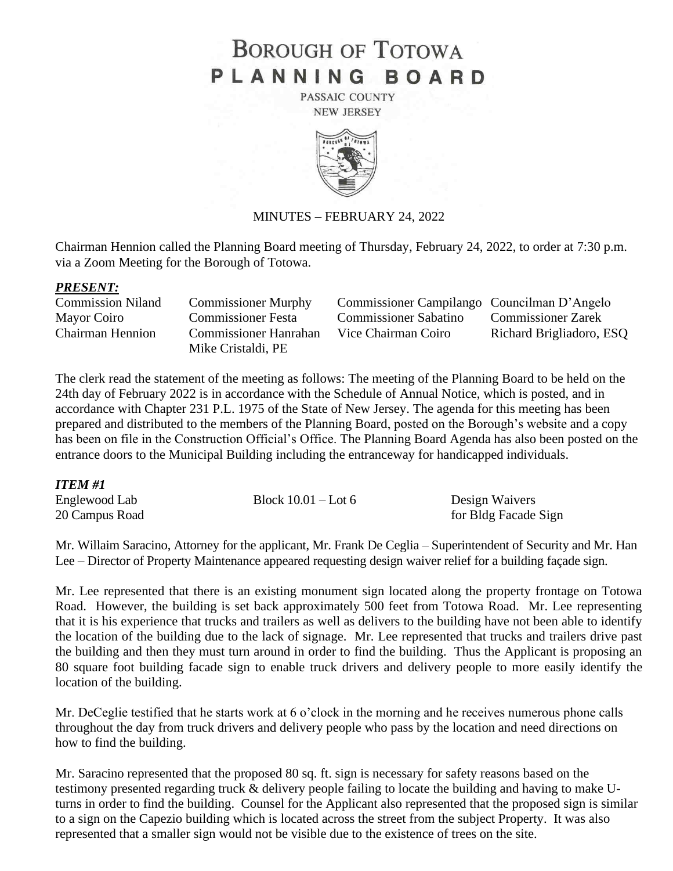# **BOROUGH OF TOTOWA** PLANNING BOARD

PASSAIC COUNTY **NEW JERSEY** 



### MINUTES – FEBRUARY 24, 2022

Chairman Hennion called the Planning Board meeting of Thursday, February 24, 2022, to order at 7:30 p.m. via a Zoom Meeting for the Borough of Totowa.

### *PRESENT:*

| <b>Commission Niland</b> | <b>Commissioner Murphy</b> | Commissioner Campilango Councilman D'Angelo |                           |
|--------------------------|----------------------------|---------------------------------------------|---------------------------|
| Mayor Coiro              | <b>Commissioner Festa</b>  | <b>Commissioner Sabatino</b>                | <b>Commissioner Zarek</b> |
| Chairman Hennion         | Commissioner Hanrahan      | Vice Chairman Coiro                         | Richard Brigliadoro, ESQ  |
|                          | Mike Cristaldi, PE         |                                             |                           |

The clerk read the statement of the meeting as follows: The meeting of the Planning Board to be held on the 24th day of February 2022 is in accordance with the Schedule of Annual Notice, which is posted, and in accordance with Chapter 231 P.L. 1975 of the State of New Jersey. The agenda for this meeting has been prepared and distributed to the members of the Planning Board, posted on the Borough's website and a copy has been on file in the Construction Official's Office. The Planning Board Agenda has also been posted on the entrance doors to the Municipal Building including the entranceway for handicapped individuals.

### *ITEM #1*

| Englewood Lab  | Block $10.01 -$ Lot 6 | Design Waivers       |
|----------------|-----------------------|----------------------|
| 20 Campus Road |                       | for Bldg Facade Sign |

Mr. Willaim Saracino, Attorney for the applicant, Mr. Frank De Ceglia – Superintendent of Security and Mr. Han Lee – Director of Property Maintenance appeared requesting design waiver relief for a building façade sign.

Mr. Lee represented that there is an existing monument sign located along the property frontage on Totowa Road. However, the building is set back approximately 500 feet from Totowa Road. Mr. Lee representing that it is his experience that trucks and trailers as well as delivers to the building have not been able to identify the location of the building due to the lack of signage. Mr. Lee represented that trucks and trailers drive past the building and then they must turn around in order to find the building. Thus the Applicant is proposing an 80 square foot building facade sign to enable truck drivers and delivery people to more easily identify the location of the building.

Mr. DeCeglie testified that he starts work at 6 o'clock in the morning and he receives numerous phone calls throughout the day from truck drivers and delivery people who pass by the location and need directions on how to find the building.

Mr. Saracino represented that the proposed 80 sq. ft. sign is necessary for safety reasons based on the testimony presented regarding truck & delivery people failing to locate the building and having to make Uturns in order to find the building. Counsel for the Applicant also represented that the proposed sign is similar to a sign on the Capezio building which is located across the street from the subject Property. It was also represented that a smaller sign would not be visible due to the existence of trees on the site.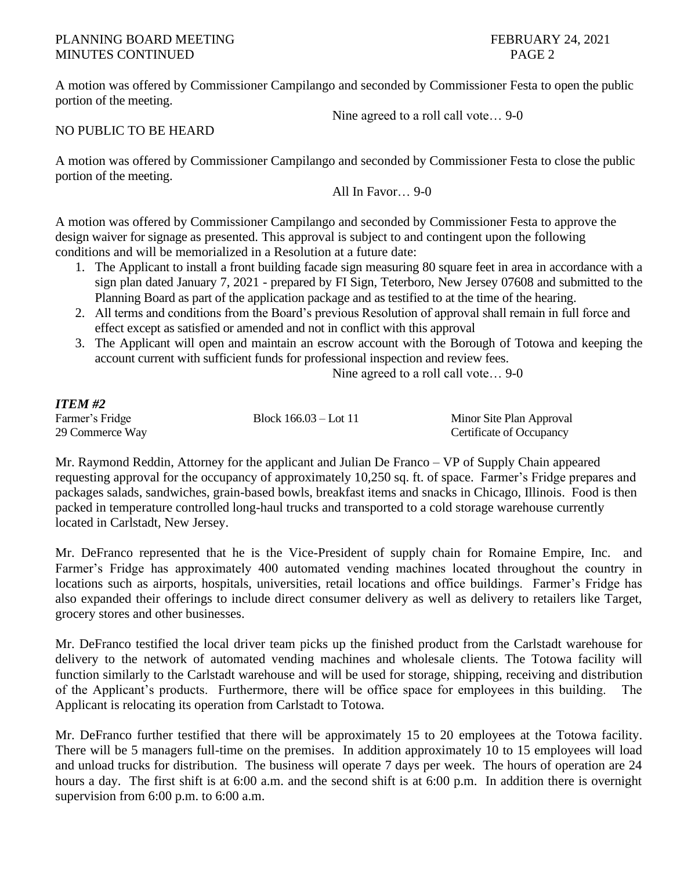# PLANNING BOARD MEETING FEBRUARY 24, 2021 MINUTES CONTINUED PAGE 2

A motion was offered by Commissioner Campilango and seconded by Commissioner Festa to open the public portion of the meeting.

Nine agreed to a roll call vote… 9-0

NO PUBLIC TO BE HEARD

A motion was offered by Commissioner Campilango and seconded by Commissioner Festa to close the public portion of the meeting.

All In Favor… 9-0

A motion was offered by Commissioner Campilango and seconded by Commissioner Festa to approve the design waiver for signage as presented. This approval is subject to and contingent upon the following conditions and will be memorialized in a Resolution at a future date:

- 1. The Applicant to install a front building facade sign measuring 80 square feet in area in accordance with a sign plan dated January 7, 2021 - prepared by FI Sign, Teterboro, New Jersey 07608 and submitted to the Planning Board as part of the application package and as testified to at the time of the hearing.
- 2. All terms and conditions from the Board's previous Resolution of approval shall remain in full force and effect except as satisfied or amended and not in conflict with this approval
- 3. The Applicant will open and maintain an escrow account with the Borough of Totowa and keeping the account current with sufficient funds for professional inspection and review fees.

Nine agreed to a roll call vote… 9-0

# *ITEM #2*

Farmer's Fridge Block 166.03 – Lot 11 Minor Site Plan Approval 29 Commerce Way Certificate of Occupancy

Mr. Raymond Reddin, Attorney for the applicant and Julian De Franco – VP of Supply Chain appeared requesting approval for the occupancy of approximately 10,250 sq. ft. of space. Farmer's Fridge prepares and packages salads, sandwiches, grain-based bowls, breakfast items and snacks in Chicago, Illinois. Food is then packed in temperature controlled long-haul trucks and transported to a cold storage warehouse currently located in Carlstadt, New Jersey.

Mr. DeFranco represented that he is the Vice-President of supply chain for Romaine Empire, Inc. and Farmer's Fridge has approximately 400 automated vending machines located throughout the country in locations such as airports, hospitals, universities, retail locations and office buildings. Farmer's Fridge has also expanded their offerings to include direct consumer delivery as well as delivery to retailers like Target, grocery stores and other businesses.

Mr. DeFranco testified the local driver team picks up the finished product from the Carlstadt warehouse for delivery to the network of automated vending machines and wholesale clients. The Totowa facility will function similarly to the Carlstadt warehouse and will be used for storage, shipping, receiving and distribution of the Applicant's products. Furthermore, there will be office space for employees in this building. The Applicant is relocating its operation from Carlstadt to Totowa.

Mr. DeFranco further testified that there will be approximately 15 to 20 employees at the Totowa facility. There will be 5 managers full-time on the premises. In addition approximately 10 to 15 employees will load and unload trucks for distribution. The business will operate 7 days per week. The hours of operation are 24 hours a day. The first shift is at 6:00 a.m. and the second shift is at 6:00 p.m. In addition there is overnight supervision from 6:00 p.m. to 6:00 a.m.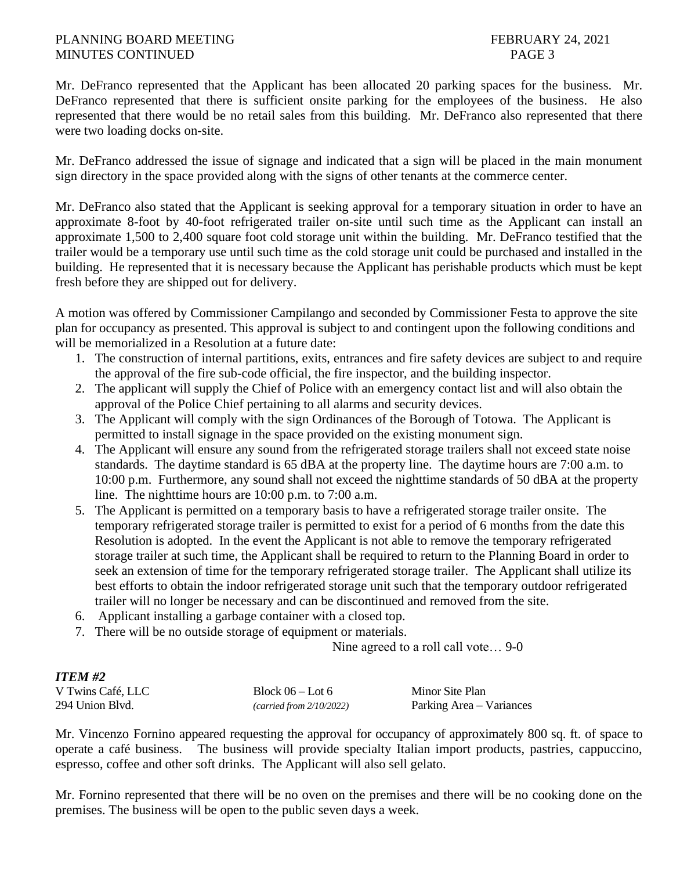### PLANNING BOARD MEETING FEBRUARY 24, 2021 MINUTES CONTINUED PAGE 3

Mr. DeFranco represented that the Applicant has been allocated 20 parking spaces for the business. Mr. DeFranco represented that there is sufficient onsite parking for the employees of the business. He also represented that there would be no retail sales from this building. Mr. DeFranco also represented that there were two loading docks on-site.

Mr. DeFranco addressed the issue of signage and indicated that a sign will be placed in the main monument sign directory in the space provided along with the signs of other tenants at the commerce center.

Mr. DeFranco also stated that the Applicant is seeking approval for a temporary situation in order to have an approximate 8-foot by 40-foot refrigerated trailer on-site until such time as the Applicant can install an approximate 1,500 to 2,400 square foot cold storage unit within the building. Mr. DeFranco testified that the trailer would be a temporary use until such time as the cold storage unit could be purchased and installed in the building. He represented that it is necessary because the Applicant has perishable products which must be kept fresh before they are shipped out for delivery.

A motion was offered by Commissioner Campilango and seconded by Commissioner Festa to approve the site plan for occupancy as presented. This approval is subject to and contingent upon the following conditions and will be memorialized in a Resolution at a future date:

- 1. The construction of internal partitions, exits, entrances and fire safety devices are subject to and require the approval of the fire sub-code official, the fire inspector, and the building inspector.
- 2. The applicant will supply the Chief of Police with an emergency contact list and will also obtain the approval of the Police Chief pertaining to all alarms and security devices.
- 3. The Applicant will comply with the sign Ordinances of the Borough of Totowa. The Applicant is permitted to install signage in the space provided on the existing monument sign.
- 4. The Applicant will ensure any sound from the refrigerated storage trailers shall not exceed state noise standards. The daytime standard is 65 dBA at the property line. The daytime hours are 7:00 a.m. to 10:00 p.m. Furthermore, any sound shall not exceed the nighttime standards of 50 dBA at the property line. The nighttime hours are 10:00 p.m. to 7:00 a.m.
- 5. The Applicant is permitted on a temporary basis to have a refrigerated storage trailer onsite. The temporary refrigerated storage trailer is permitted to exist for a period of 6 months from the date this Resolution is adopted. In the event the Applicant is not able to remove the temporary refrigerated storage trailer at such time, the Applicant shall be required to return to the Planning Board in order to seek an extension of time for the temporary refrigerated storage trailer. The Applicant shall utilize its best efforts to obtain the indoor refrigerated storage unit such that the temporary outdoor refrigerated trailer will no longer be necessary and can be discontinued and removed from the site.
- 6. Applicant installing a garbage container with a closed top.
- 7. There will be no outside storage of equipment or materials.

Nine agreed to a roll call vote… 9-0

# *ITEM #2*

| -------           |                          |                          |
|-------------------|--------------------------|--------------------------|
| V Twins Café, LLC | Block $06 -$ Lot 6       | Minor Site Plan          |
| 294 Union Blvd.   | (carried from 2/10/2022) | Parking Area – Variances |

Mr. Vincenzo Fornino appeared requesting the approval for occupancy of approximately 800 sq. ft. of space to operate a café business. The business will provide specialty Italian import products, pastries, cappuccino, espresso, coffee and other soft drinks. The Applicant will also sell gelato.

Mr. Fornino represented that there will be no oven on the premises and there will be no cooking done on the premises. The business will be open to the public seven days a week.